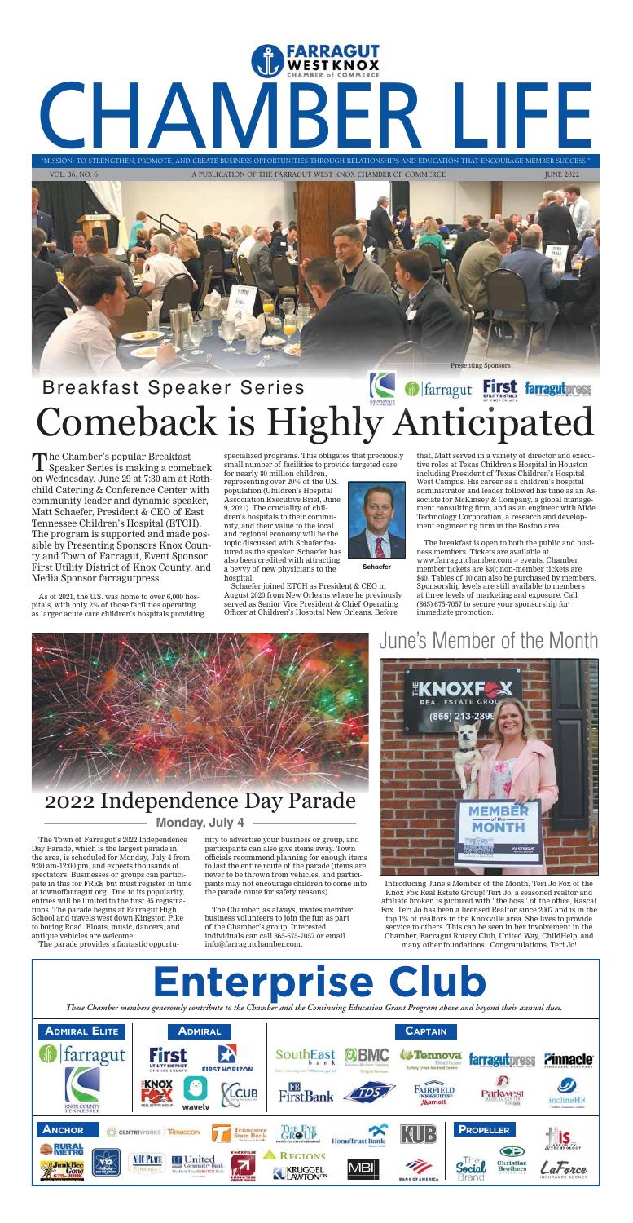# "MISSION: TO STRENGTHEN, PROMOTE, AND CREATE BUSINESS OPPORTUNITIES THROUGH RELATIONSHIPS AND EDUCATION THAT ENCOURAGE MEMBER SUCCESS." "MISSION: TO STRENGTHEN, PROMOTE, AND CREATE BUSINESS OPPORTUNITIES THROUGH RELATIONSHIPS AND EDUCATION THAT ENCOURAGE MEMBER S

VOL. 36, NO. 6 A PUBLICATION OF THE FARRAGUT WEST KNOX CHAMBER OF COMMERCE JUNE 2022

# Breakfast Speaker Series Breakfast Speaker Series **Comeback is Highly Anticipated**



The Chamber's popular Breakfast Speaker Series is making a comeback on Wednesday, June 29 at 7:30 am at Rothchild Catering & Conference Center with community leader and dynamic speaker, Matt Schaefer, President & CEO of East Tennessee Children's Hospital (ETCH). The program is supported and made possible by Presenting Sponsors Knox County and Town of Farragut, Event Sponsor First Utility District of Knox County, and Media Sponsor farragutpress.

As of 2021, the U.S. was home to over 6,000 hospitals, with only 2% of those facilities operating as larger acute care children's hospitals providing specialized programs. This obligates that preciously small number of facilities to provide targeted care

for nearly 80 million children, representing over 20% of the U.S. population (Children's Hospital Association Executive Brief, June 9, 2021). The cruciality of children's hospitals to their community, and their value to the local and regional economy will be the topic discussed with Schafer featured as the speaker. Schaefer has also been credited with attracting a bevvy of new physicians to the hospital.

Schaefer joined ETCH as President & CEO in August 2020 from New Orleans where he previously served as Senior Vice President & Chief Operating Officer at Children's Hospital New Orleans. Before



**Schaefer** 

that, Matt served in a variety of director and executive roles at Texas Children's Hospital in Houston including President of Texas Children's Hospital West Campus. His career as a children's hospital administrator and leader followed his time as an Associate for McKinsey & Company, a global management consulting firm, and as an engineer with Mide Technology Corporation, a research and development engineering firm in the Boston area.

The breakfast is open to both the public and business members. Tickets are available at www.farragutchamber.com > events. Chamber member tickets are \$30; non-member tickets are \$40. Tables of 10 can also be purchased by members. Sponsorship levels are still available to members at three levels of marketing and exposure. Call (865) 675-7057 to secure your sponsorship for immediate promotion.



The Town of Farragut's 2022 Independence Day Parade, which is the largest parade in the area, is scheduled for Monday, July 4 from 9:30 am-12:00 pm, and expects thousands of spectators! Businesses or groups can participate in this for FREE but must register in time at townoffarragut.org. Due to its popularity, entries will be limited to the first 95 registrations. The parade begins at Farragut High School and travels west down Kingston Pike to boring Road. Floats, music, dancers, and antique vehicles are welcome.

The parade provides a fantastic opportu-

nity to advertise your business or group, and participants can also give items away. Town officials recommend planning for enough items to last the entire route of the parade (items are never to be thrown from vehicles, and participants may not encourage children to come into the parade route for safety reasons).

The Chamber, as always, invites member business volunteers to join the fun as part of the Chamber's group! Interested individuals can call 865-675-7057 or email info@farragutchamber.com.

## 2022 Independence Day Parade

## June's Member of the Month



### **Monday, July 4**

Introducing June's Member of the Month, Teri Jo Fox of the Knox Fox Real Estate Group! Teri Jo, a seasoned realtor and affiliate broker, is pictured with "the boss" of the office, Rascal Fox. Teri Jo has been a licensed Realtor since 2007 and is in the top 1% of realtors in the Knoxville area. She lives to provide service to others. This can be seen in her involvement in the Chamber, Farragut Rotary Club, United Way, ChildHelp, and many other foundations. Congratulations, Teri Jo!

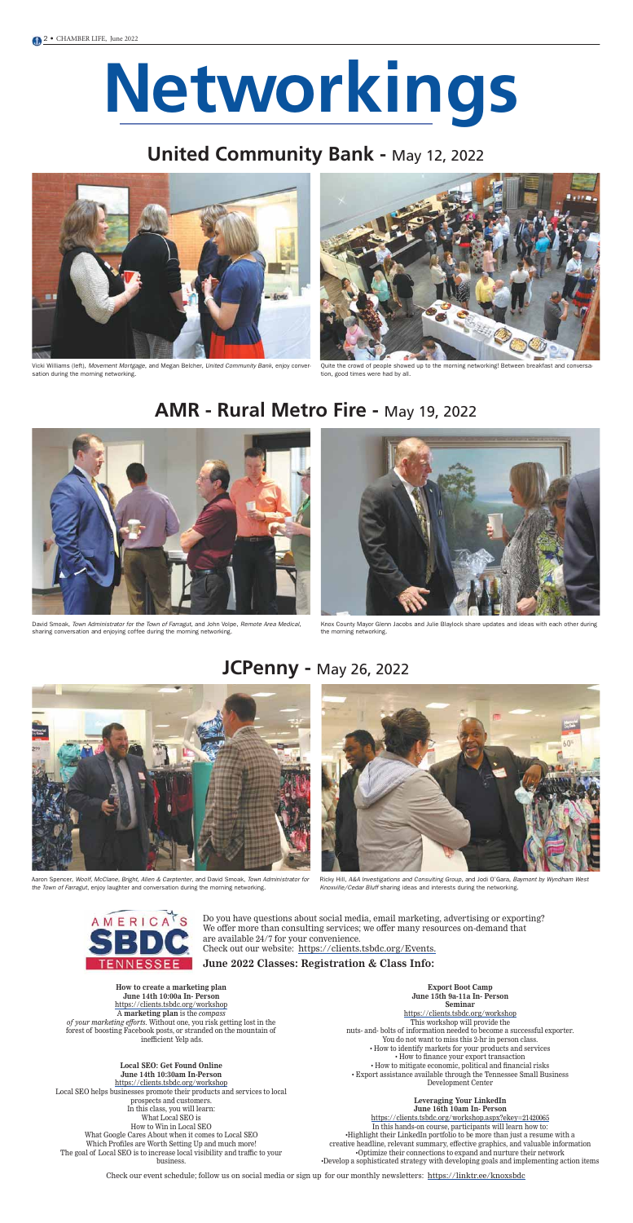# **Networkings**

### **United Community Bank - May 12, 2022**

### **AMR - Rural Metro Fire -** May 19, 2022

### **JCPenny -** May 26, 2022



Vicki Williams (left), Movement Mortgage, and Megan Belcher, United Community Bank, enjoy conversation during the morning networking.



Quite the crowd of people showed up to the morning networking! Between breakfast and conversation, good times were had by all.



Aaron Spencer, Woolf, McClane, Bright, Allen & Carptenter, and David Smoak, Town Administrator for the Town of Farragut, enjoy laughter and conversation during the morning networking.



David Smoak, Town Administrator for the Town of Farragut, and John Volpe, Remote Area Medical, sharing conversation and enjoying coffee during the morning networking.



Knox County Mayor Glenn Jacobs and Julie Blaylock share updates and ideas with each other during the morning networking.



Ricky Hill, A&A Investigations and Consulting Group, and Jodi O'Gara, Baymont by Wyndham West Knoxville/Cedar Bluff sharing ideas and interests during the networking.



**How to create a marketing plan June 14th 10:00a In- Person** https://clients.tsbdc.org/workshop A **marketing plan** is the *compass of your marketing efforts.* Without one, you risk getting lost in the forest of boosting Facebook posts, or stranded on the mountain of inefficient Yelp ads.

#### **Local SEO: Get Found Online June 14th 10:30am In-Person**

https://clients.tsbdc.org/workshop Local SEO helps businesses promote their products and services to local prospects and customers. In this class, you will learn: What Local SEO is How to Win in Local SEO What Google Cares About when it comes to Local SEO Which Profiles are Worth Setting Up and much more! The goal of Local SEO is to increase local visibility and traffic to your business.

**Export Boot Camp June 15th 9a-11a In- Person Seminar** https://clients.tsbdc.org/workshop This workshop will provide the nuts- and- bolts of information needed to become a successful exporter. You do not want to miss this 2-hr in person class. • How to identify markets for your products and services • How to finance your export transaction • How to mitigate economic, political and financial risks • Export assistance available through the Tennessee Small Business Development Center

#### **Leveraging Your LinkedIn June 16th 10am In- Person**

https://clients.tsbdc.org/workshop.aspx?ekey=21420065

In this hands-on course, participants will learn how to: •Highlight their LinkedIn portfolio to be more than just a resume with a creative headline, relevant summary, effective graphics, and valuable information •Optimize their connections to expand and nurture their network •Develop a sophisticated strategy with developing goals and implementing action items

Do you have questions about social media, email marketing, advertising or exporting? We offer more than consulting services; we offer many resources on-demand that are available 24/7 for your convenience. Check out our website: https://clients.tsbdc.org/Events.

**June 2022 Classes: Registration & Class Info:** 

Check our event schedule; follow us on social media or sign up for our monthly newsletters: https://linktr.ee/knoxsbdc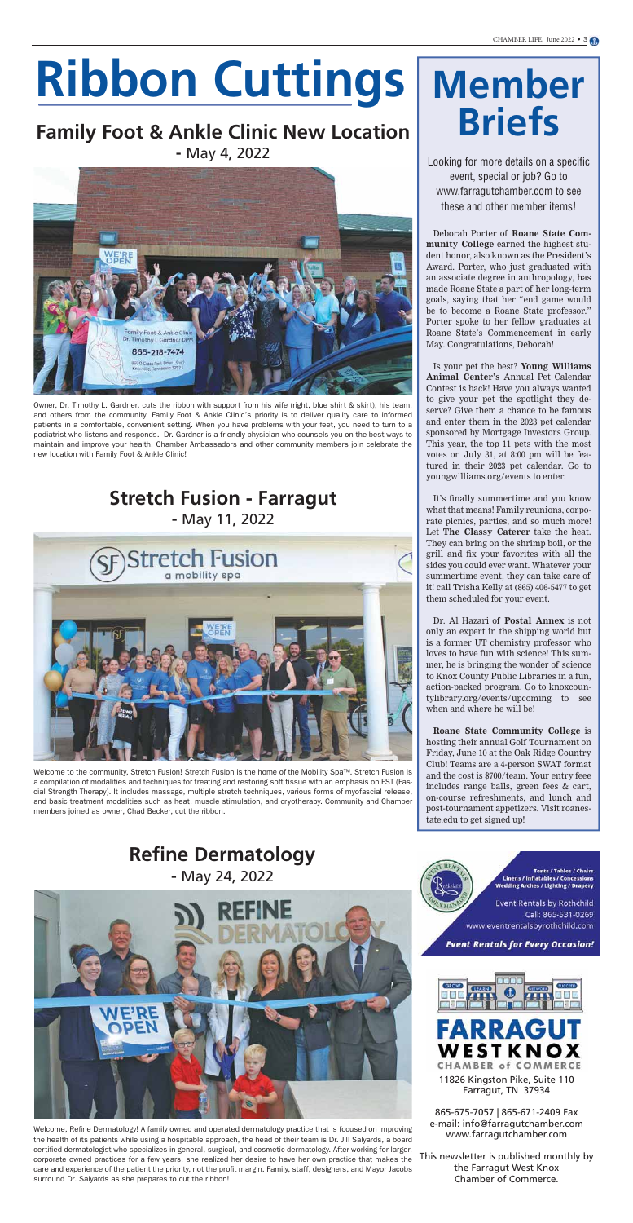# **Ribbon Cuttings**

### **Family Foot & Ankle Clinic New Location -** May 4, 2022



### **Stretch Fusion - Farragut -** May 11, 2022



### **Refine Dermatology -** May 24, 2022



# **Member Briefs**

Looking for more details on a specific event, special or job? Go to www.farragutchamber.com to see these and other member items!

Deborah Porter of **Roane State Community College** earned the highest student honor, also known as the President's Award. Porter, who just graduated with an associate degree in anthropology, has made Roane State a part of her long-term goals, saying that her "end game would be to become a Roane State professor." Porter spoke to her fellow graduates at Roane State's Commencement in early May. Congratulations, Deborah!

Is your pet the best? **Young Williams Animal Center's** Annual Pet Calendar Contest is back! Have you always wanted to give your pet the spotlight they deserve? Give them a chance to be famous and enter them in the 2023 pet calendar sponsored by Mortgage Investors Group. This year, the top 11 pets with the most votes on July 31, at 8:00 pm will be featured in their 2023 pet calendar. Go to youngwilliams.org/events to enter.

It's finally summertime and you know what that means! Family reunions, corporate picnics, parties, and so much more! Let **The Classy Caterer** take the heat. They can bring on the shrimp boil, or the grill and fix your favorites with all the sides you could ever want. Whatever your summertime event, they can take care of it! call Trisha Kelly at (865) 406-5477 to get them scheduled for your event.

Dr. Al Hazari of **Postal Annex** is not only an expert in the shipping world but is a former UT chemistry professor who loves to have fun with science! This summer, he is bringing the wonder of science to Knox County Public Libraries in a fun, action-packed program. Go to knoxcountylibrary.org/events/upcoming to see when and where he will be!

**Roane State Community College** is hosting their annual Golf Tournament on Friday, June 10 at the Oak Ridge Country Club! Teams are a 4-person SWAT format and the cost is \$700/team. Your entry feee includes range balls, green fees & cart, on-course refreshments, and lunch and post-tournament appetizers. Visit roanestate.edu to get signed up!

Owner, Dr. Timothy L. Gardner, cuts the ribbon with support from his wife (right, blue shirt & skirt), his team, and others from the community. Family Foot & Ankle Clinic's priority is to deliver quality care to informed patients in a comfortable, convenient setting. When you have problems with your feet, you need to turn to a podiatrist who listens and responds. Dr. Gardner is a friendly physician who counsels you on the best ways to maintain and improve your health. Chamber Ambassadors and other community members join celebrate the new location with Family Foot & Ankle Clinic!

Welcome to the community, Stretch Fusion! Stretch Fusion is the home of the Mobility Spa™. Stretch Fusion is a compilation of modalities and techniques for treating and restoring soft tissue with an emphasis on FST (Fascial Strength Therapy). It includes massage, multiple stretch techniques, various forms of myofascial release, and basic treatment modalities such as heat, muscle stimulation, and cryotherapy. Community and Chamber members joined as owner, Chad Becker, cut the ribbon.

Welcome, Refine Dermatology! A family owned and operated dermatology practice that is focused on improving the health of its patients while using a hospitable approach, the head of their team is Dr. Jill Salyards, a board certified dermatologist who specializes in general, surgical, and cosmetic dermatology. After working for larger, corporate owned practices for a few years, she realized her desire to have her own practice that makes the care and experience of the patient the priority, not the profit margin. Family, staff, designers, and Mayor Jacobs surround Dr. Salyards as she prepares to cut the ribbon!

**Tents / Tables / Chairs Linens / Inflatables / Concessions** Wedding Arches / Lighting / Drapery

**Event Rentals by Rothchild** Call: 865-531-0269 www.eventrentalsbyrothchild.com

#### **Event Rentals for Every Occasion!**





11826 Kingston Pike, Suite 110 Farragut, TN 37934

865-675-7057 | 865-671-2409 Fax e-mail: info@farragutchamber.com www.farragutchamber.com

This newsletter is published monthly by the Farragut West Knox Chamber of Commerce.